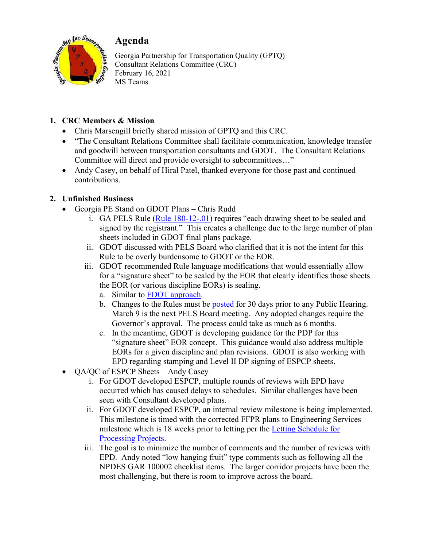

## **1. CRC Members & Mission**

- Chris Marsengill briefly shared mission of GPTQ and this CRC.
- "The Consultant Relations Committee shall facilitate communication, knowledge transfer and goodwill between transportation consultants and GDOT. The Consultant Relations Committee will direct and provide oversight to subcommittees…"
- Andy Casey, on behalf of Hiral Patel, thanked everyone for those past and continued contributions.

# **2. Unfinished Business**

- Georgia PE Stand on GDOT Plans Chris Rudd
	- i. GA PELS Rule  $(Rule 180-12-01)$  requires "each drawing sheet to be sealed and signed by the registrant." This creates a challenge due to the large number of plan sheets included in GDOT final plans package.
	- ii. GDOT discussed with PELS Board who clarified that it is not the intent for this Rule to be overly burdensome to GDOT or the EOR.
	- iii. GDOT recommended Rule language modifications that would essentially allow for a "signature sheet" to be sealed by the EOR that clearly identifies those sheets the EOR (or various discipline EORs) is sealing.
		- a. Similar to FDOT approach.
		- b. Changes to the Rules must be posted for 30 days prior to any Public Hearing. March 9 is the next PELS Board meeting. Any adopted changes require the Governor's approval. The process could take as much as 6 months.
		- c. In the meantime, GDOT is developing guidance for the PDP for this "signature sheet" EOR concept. This guidance would also address multiple EORs for a given discipline and plan revisions. GDOT is also working with EPD regarding stamping and Level II DP signing of ESPCP sheets.
- QA/QC of ESPCP Sheets Andy Casey
	- i. For GDOT developed ESPCP, multiple rounds of reviews with EPD have occurred which has caused delays to schedules. Similar challenges have been seen with Consultant developed plans.
	- ii. For GDOT developed ESPCP, an internal review milestone is being implemented. This milestone is timed with the corrected FFPR plans to Engineering Services milestone which is 18 weeks prior to letting per the Letting Schedule for Processing Projects.
	- iii. The goal is to minimize the number of comments and the number of reviews with EPD. Andy noted "low hanging fruit" type comments such as following all the NPDES GAR 100002 checklist items. The larger corridor projects have been the most challenging, but there is room to improve across the board.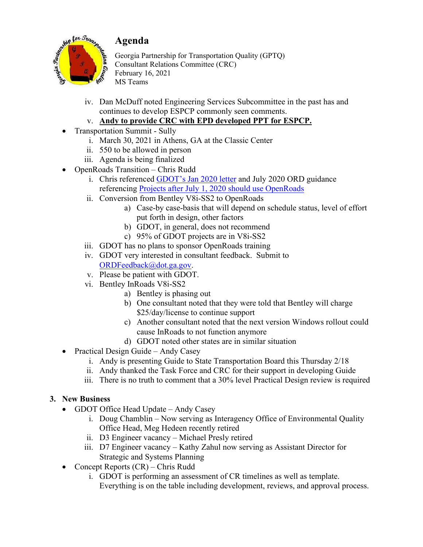



- iv. Dan McDuff noted Engineering Services Subcommittee in the past has and continues to develop ESPCP commonly seen comments.
- v. **Andy to provide CRC with EPD developed PPT for ESPCP.**
- Transportation Summit Sully
	- i. March 30, 2021 in Athens, GA at the Classic Center
	- ii. 550 to be allowed in person
	- iii. Agenda is being finalized
- OpenRoads Transition Chris Rudd
	- i. Chris referenced GDOT's Jan 2020 letter and July 2020 ORD guidance referencing Projects after July 1, 2020 should use OpenRoads
	- ii. Conversion from Bentley V8i-SS2 to OpenRoads
		- a) Case-by case-basis that will depend on schedule status, level of effort put forth in design, other factors
		- b) GDOT, in general, does not recommend
		- c) 95% of GDOT projects are in V8i-SS2
	- iii. GDOT has no plans to sponsor OpenRoads training
	- iv. GDOT very interested in consultant feedback. Submit to ORDFeedback@dot.ga.gov.
	- v. Please be patient with GDOT.
	- vi. Bentley InRoads V8i-SS2
		- a) Bentley is phasing out
		- b) One consultant noted that they were told that Bentley will charge \$25/day/license to continue support
		- c) Another consultant noted that the next version Windows rollout could cause InRoads to not function anymore
		- d) GDOT noted other states are in similar situation
- Practical Design Guide Andy Casey
	- i. Andy is presenting Guide to State Transportation Board this Thursday 2/18
	- ii. Andy thanked the Task Force and CRC for their support in developing Guide
	- iii. There is no truth to comment that a 30% level Practical Design review is required

### **3. New Business**

- GDOT Office Head Update Andy Casey
	- i. Doug Chamblin Now serving as Interagency Office of Environmental Quality Office Head, Meg Hedeen recently retired
	- ii. D3 Engineer vacancy Michael Presly retired
	- iii. D7 Engineer vacancy Kathy Zahul now serving as Assistant Director for Strategic and Systems Planning
- Concept Reports (CR) Chris Rudd
	- i. GDOT is performing an assessment of CR timelines as well as template. Everything is on the table including development, reviews, and approval process.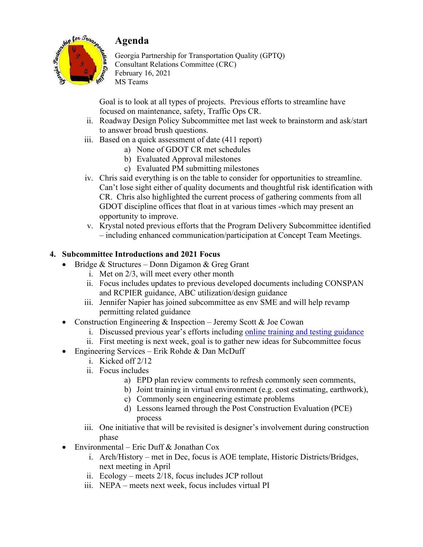

Goal is to look at all types of projects. Previous efforts to streamline have focused on maintenance, safety, Traffic Ops CR.

- ii. Roadway Design Policy Subcommittee met last week to brainstorm and ask/start to answer broad brush questions.
- iii. Based on a quick assessment of date (411 report)
	- a) None of GDOT CR met schedules
	- b) Evaluated Approval milestones
	- c) Evaluated PM submitting milestones
- iv. Chris said everything is on the table to consider for opportunities to streamline. Can't lose sight either of quality documents and thoughtful risk identification with CR. Chris also highlighted the current process of gathering comments from all GDOT discipline offices that float in at various times -which may present an opportunity to improve.
- v. Krystal noted previous efforts that the Program Delivery Subcommittee identified – including enhanced communication/participation at Concept Team Meetings.

### **4. Subcommittee Introductions and 2021 Focus**

- Bridge & Structures Donn Digamon & Greg Grant
	- i. Met on 2/3, will meet every other month
	- ii. Focus includes updates to previous developed documents including CONSPAN and RCPIER guidance, ABC utilization/design guidance
	- iii. Jennifer Napier has joined subcommittee as env SME and will help revamp permitting related guidance
- Construction Engineering & Inspection Jeremy Scott & Joe Cowan
	- i. Discussed previous year's efforts including online training and testing guidance
	- ii. First meeting is next week, goal is to gather new ideas for Subcommittee focus
- Engineering Services Erik Rohde & Dan McDuff
	- i. Kicked off 2/12
	- ii. Focus includes
		- a) EPD plan review comments to refresh commonly seen comments,
		- b) Joint training in virtual environment (e.g. cost estimating, earthwork),
		- c) Commonly seen engineering estimate problems
		- d) Lessons learned through the Post Construction Evaluation (PCE) process
	- iii. One initiative that will be revisited is designer's involvement during construction phase
- Environmental Eric Duff & Jonathan Cox
	- i. Arch/History met in Dec, focus is AOE template, Historic Districts/Bridges, next meeting in April
	- ii. Ecology meets 2/18, focus includes JCP rollout
	- iii. NEPA meets next week, focus includes virtual PI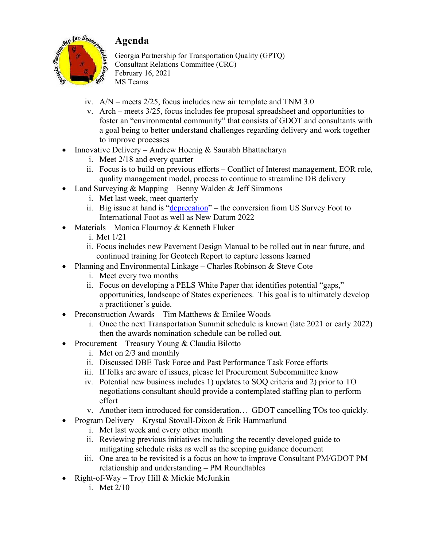

- iv. A/N meets 2/25, focus includes new air template and TNM 3.0
- v. Arch meets 3/25, focus includes fee proposal spreadsheet and opportunities to foster an "environmental community" that consists of GDOT and consultants with a goal being to better understand challenges regarding delivery and work together to improve processes
- Innovative Delivery Andrew Hoenig & Saurabh Bhattacharya
	- i. Meet 2/18 and every quarter
	- ii. Focus is to build on previous efforts Conflict of Interest management, EOR role, quality management model, process to continue to streamline DB delivery
- Land Surveying  $& \text{Mapping} \text{Benny}$  Walden  $& \text{Jeff}$  Simmons
	- i. Met last week, meet quarterly
	- ii. Big issue at hand is "*deprecation*" the conversion from US Survey Foot to International Foot as well as New Datum 2022
- Materials Monica Flournoy & Kenneth Fluker
	- i. Met 1/21
	- ii. Focus includes new Pavement Design Manual to be rolled out in near future, and continued training for Geotech Report to capture lessons learned
- Planning and Environmental Linkage Charles Robinson & Steve Cote
	- i. Meet every two months
	- ii. Focus on developing a PELS White Paper that identifies potential "gaps," opportunities, landscape of States experiences. This goal is to ultimately develop a practitioner's guide.
- Preconstruction Awards Tim Matthews & Emilee Woods
	- i. Once the next Transportation Summit schedule is known (late 2021 or early 2022) then the awards nomination schedule can be rolled out.
- Procurement Treasury Young & Claudia Bilotto
	- i. Met on 2/3 and monthly
	- ii. Discussed DBE Task Force and Past Performance Task Force efforts
	- iii. If folks are aware of issues, please let Procurement Subcommittee know
	- iv. Potential new business includes 1) updates to SOQ criteria and 2) prior to TO negotiations consultant should provide a contemplated staffing plan to perform effort
	- v. Another item introduced for consideration… GDOT cancelling TOs too quickly.
- Program Delivery Krystal Stovall-Dixon & Erik Hammarlund
	- i. Met last week and every other month
	- ii. Reviewing previous initiatives including the recently developed guide to mitigating schedule risks as well as the scoping guidance document
	- iii. One area to be revisited is a focus on how to improve Consultant PM/GDOT PM relationship and understanding – PM Roundtables
- Right-of-Way Troy Hill & Mickie McJunkin
	- i. Met 2/10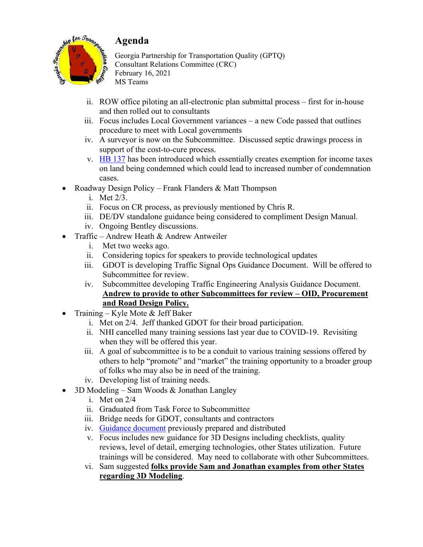

- ii. ROW office piloting an all-electronic plan submittal process first for in-house and then rolled out to consultants
- iii. Focus includes Local Government variances a new Code passed that outlines procedure to meet with Local governments
- iv. A surveyor is now on the Subcommittee. Discussed septic drawings process in support of the cost-to-cure process.
- v. HB 137 has been introduced which essentially creates exemption for income taxes on land being condemned which could lead to increased number of condemnation cases.
- Roadway Design Policy Frank Flanders & Matt Thompson
	- i. Met 2/3.
	- ii. Focus on CR process, as previously mentioned by Chris R.
	- iii. DE/DV standalone guidance being considered to compliment Design Manual.
	- iv. Ongoing Bentley discussions.
- Traffic Andrew Heath & Andrew Antweiler
	- i. Met two weeks ago.
	- ii. Considering topics for speakers to provide technological updates
	- iii. GDOT is developing Traffic Signal Ops Guidance Document. Will be offered to Subcommittee for review.
	- iv. Subcommittee developing Traffic Engineering Analysis Guidance Document. **Andrew to provide to other Subcommittees for review – OID, Procurement and Road Design Policy.**
- Training Kyle Mote & Jeff Baker
	- i. Met on 2/4. Jeff thanked GDOT for their broad participation.
	- ii. NHI cancelled many training sessions last year due to COVID-19. Revisiting when they will be offered this year.
	- iii. A goal of subcommittee is to be a conduit to various training sessions offered by others to help "promote" and "market" the training opportunity to a broader group of folks who may also be in need of the training.
	- iv. Developing list of training needs.
- 3D Modeling Sam Woods & Jonathan Langley
	- i. Met on 2/4
	- ii. Graduated from Task Force to Subcommittee
	- iii. Bridge needs for GDOT, consultants and contractors
	- iv. Guidance document previously prepared and distributed
	- v. Focus includes new guidance for 3D Designs including checklists, quality reviews, level of detail, emerging technologies, other States utilization. Future trainings will be considered. May need to collaborate with other Subcommittees.
	- vi. Sam suggested **folks provide Sam and Jonathan examples from other States regarding 3D Modeling**.